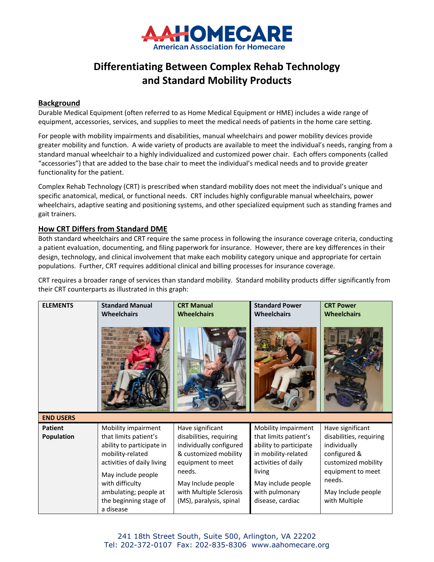

## **Differentiating Between Complex Rehab Technology and Standard Mobility Products**

## **Background**

Durable Medical Equipment (often referred to as Home Medical Equipment or HME) includes a wide range of equipment, accessories, services, and supplies to meet the medical needs of patients in the home care setting.

For people with mobility impairments and disabilities, manual wheelchairs and power mobility devices provide greater mobility and function. A wide variety of products are available to meet the individual's needs, ranging from a standard manual wheelchair to a highly individualized and customized power chair. Each offers components (called "accessories") that are added to the base chair to meet the individual's medical needs and to provide greater functionality for the patient.

Complex Rehab Technology (CRT) is prescribed when standard mobility does not meet the individual's unique and specific anatomical, medical, or functional needs. CRT includes highly configurable manual wheelchairs, power wheelchairs, adaptive seating and positioning systems, and other specialized equipment such as standing frames and gait trainers.

## **How CRT Differs from Standard DME**

Both standard wheelchairs and CRT require the same process in following the insurance coverage criteria, conducting a patient evaluation, documenting, and filing paperwork for insurance. However, there are key differences in their design, technology, and clinical involvement that make each mobility category unique and appropriate for certain populations. Further, CRT requires additional clinical and billing processes for insurance coverage.

CRT requires a broader range of services than standard mobility. Standard mobility products differ significantly from their CRT counterparts as illustrated in this graph:

| <b>ELEMENTS</b>                                         | <b>Standard Manual</b>                                                                                                                                                                                                               | <b>CRT Manual</b>                                                                                                                                                                                          | <b>Standard Power</b>                                                                                                                                                                      | <b>CRT Power</b>                                                                                                                                                         |
|---------------------------------------------------------|--------------------------------------------------------------------------------------------------------------------------------------------------------------------------------------------------------------------------------------|------------------------------------------------------------------------------------------------------------------------------------------------------------------------------------------------------------|--------------------------------------------------------------------------------------------------------------------------------------------------------------------------------------------|--------------------------------------------------------------------------------------------------------------------------------------------------------------------------|
|                                                         | <b>Wheelchairs</b>                                                                                                                                                                                                                   | <b>Wheelchairs</b>                                                                                                                                                                                         | <b>Wheelchairs</b>                                                                                                                                                                         | <b>Wheelchairs</b>                                                                                                                                                       |
| <b>END USERS</b><br><b>Patient</b><br><b>Population</b> | Mobility impairment<br>that limits patient's<br>ability to participate in<br>mobility-related<br>activities of daily living<br>May include people<br>with difficulty<br>ambulating; people at<br>the beginning stage of<br>a disease | Have significant<br>disabilities, requiring<br>individually configured<br>& customized mobility<br>equipment to meet<br>needs.<br>May Include people<br>with Multiple Sclerosis<br>(MS), paralysis, spinal | Mobility impairment<br>that limits patient's<br>ability to participate<br>in mobility-related<br>activities of daily<br>living<br>May include people<br>with pulmonary<br>disease, cardiac | Have significant<br>disabilities, requiring<br>individually<br>configured &<br>customized mobility<br>equipment to meet<br>needs.<br>May Include people<br>with Multiple |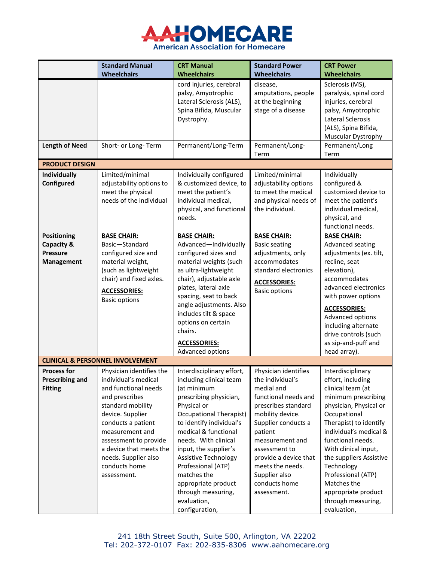

|                                                                                     | <b>Standard Manual</b>                                                                                                                                                                                                                                                                   | <b>CRT Manual</b>                                                                                                                                                                                                                                                                                                                                                                                     | <b>Standard Power</b>                                                                                                                                                                                                                                                                         | <b>CRT Power</b>                                                                                                                                                                                                                                                                                                                                                        |
|-------------------------------------------------------------------------------------|------------------------------------------------------------------------------------------------------------------------------------------------------------------------------------------------------------------------------------------------------------------------------------------|-------------------------------------------------------------------------------------------------------------------------------------------------------------------------------------------------------------------------------------------------------------------------------------------------------------------------------------------------------------------------------------------------------|-----------------------------------------------------------------------------------------------------------------------------------------------------------------------------------------------------------------------------------------------------------------------------------------------|-------------------------------------------------------------------------------------------------------------------------------------------------------------------------------------------------------------------------------------------------------------------------------------------------------------------------------------------------------------------------|
|                                                                                     | <b>Wheelchairs</b>                                                                                                                                                                                                                                                                       | <b>Wheelchairs</b>                                                                                                                                                                                                                                                                                                                                                                                    | Wheelchairs                                                                                                                                                                                                                                                                                   | <b>Wheelchairs</b>                                                                                                                                                                                                                                                                                                                                                      |
|                                                                                     |                                                                                                                                                                                                                                                                                          | cord injuries, cerebral<br>palsy, Amyotrophic<br>Lateral Sclerosis (ALS),<br>Spina Bifida, Muscular<br>Dystrophy.                                                                                                                                                                                                                                                                                     | disease,<br>amputations, people<br>at the beginning<br>stage of a disease                                                                                                                                                                                                                     | Sclerosis (MS),<br>paralysis, spinal cord<br>injuries, cerebral<br>palsy, Amyotrophic<br>Lateral Sclerosis<br>(ALS), Spina Bifida,<br>Muscular Dystrophy                                                                                                                                                                                                                |
| <b>Length of Need</b>                                                               | Short- or Long- Term                                                                                                                                                                                                                                                                     | Permanent/Long-Term                                                                                                                                                                                                                                                                                                                                                                                   | Permanent/Long-<br>Term                                                                                                                                                                                                                                                                       | Permanent/Long<br>Term                                                                                                                                                                                                                                                                                                                                                  |
| <b>PRODUCT DESIGN</b>                                                               |                                                                                                                                                                                                                                                                                          |                                                                                                                                                                                                                                                                                                                                                                                                       |                                                                                                                                                                                                                                                                                               |                                                                                                                                                                                                                                                                                                                                                                         |
| <b>Individually</b><br>Configured                                                   | Limited/minimal<br>adjustability options to<br>meet the physical<br>needs of the individual                                                                                                                                                                                              | Individually configured<br>& customized device, to<br>meet the patient's<br>individual medical,<br>physical, and functional<br>needs.                                                                                                                                                                                                                                                                 | Limited/minimal<br>adjustability options<br>to meet the medical<br>and physical needs of<br>the individual.                                                                                                                                                                                   | Individually<br>configured &<br>customized device to<br>meet the patient's<br>individual medical,<br>physical, and<br>functional needs.                                                                                                                                                                                                                                 |
| <b>Positioning</b><br><b>Capacity &amp;</b><br><b>Pressure</b><br><b>Management</b> | <b>BASE CHAIR:</b><br>Basic-Standard<br>configured size and<br>material weight,<br>(such as lightweight<br>chair) and fixed axles.<br><b>ACCESSORIES:</b><br><b>Basic options</b>                                                                                                        | <b>BASE CHAIR:</b><br>Advanced-Individually<br>configured sizes and<br>material weights (such<br>as ultra-lightweight<br>chair), adjustable axle<br>plates, lateral axle<br>spacing, seat to back<br>angle adjustments. Also<br>includes tilt & space<br>options on certain<br>chairs.<br>ACCESSORIES:<br>Advanced options                                                                            | <b>BASE CHAIR:</b><br><b>Basic seating</b><br>adjustments, only<br>accommodates<br>standard electronics<br><b>ACCESSORIES:</b><br><b>Basic options</b>                                                                                                                                        | <b>BASE CHAIR:</b><br>Advanced seating<br>adjustments (ex. tilt,<br>recline, seat<br>elevation),<br>accommodates<br>advanced electronics<br>with power options<br><b>ACCESSORIES:</b><br>Advanced options<br>including alternate<br>drive controls (such<br>as sip-and-puff and<br>head array).                                                                         |
|                                                                                     | <b>CLINICAL &amp; PERSONNEL INVOLVEMENT</b>                                                                                                                                                                                                                                              |                                                                                                                                                                                                                                                                                                                                                                                                       |                                                                                                                                                                                                                                                                                               |                                                                                                                                                                                                                                                                                                                                                                         |
| <b>Process for</b><br><b>Prescribing and</b><br><b>Fitting</b>                      | Physician identifies the<br>individual's medical<br>and functional needs<br>and prescribes<br>standard mobility<br>device. Supplier<br>conducts a patient<br>measurement and<br>assessment to provide<br>a device that meets the<br>needs. Supplier also<br>conducts home<br>assessment. | Interdisciplinary effort,<br>including clinical team<br>(at minimum<br>prescribing physician,<br>Physical or<br><b>Occupational Therapist)</b><br>to identify individual's<br>medical & functional<br>needs. With clinical<br>input, the supplier's<br><b>Assistive Technology</b><br>Professional (ATP)<br>matches the<br>appropriate product<br>through measuring,<br>evaluation,<br>configuration, | Physician identifies<br>the individual's<br>medial and<br>functional needs and<br>prescribes standard<br>mobility device.<br>Supplier conducts a<br>patient<br>measurement and<br>assessment to<br>provide a device that<br>meets the needs.<br>Supplier also<br>conducts home<br>assessment. | Interdisciplinary<br>effort, including<br>clinical team (at<br>minimum prescribing<br>physician, Physical or<br>Occupational<br>Therapist) to identify<br>individual's medical &<br>functional needs.<br>With clinical input,<br>the suppliers Assistive<br>Technology<br>Professional (ATP)<br>Matches the<br>appropriate product<br>through measuring,<br>evaluation, |